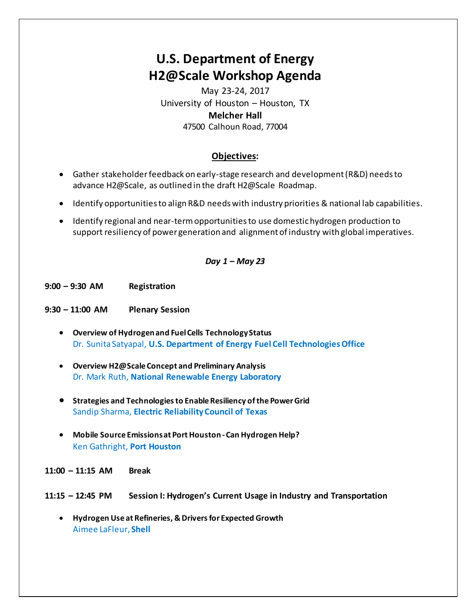# **U.S. Department of Energy H2@Scale Workshop Agenda**

May 23-24, 2017 University of Houston – Houston, TX **Melcher Hall**  47500 Calhoun Road, 77004

# **Objectives:**

- Gather stakeholder feedback on early-stage research and development (R&D) needs to advance H2@Scale, as outlined in the draft H2@Scale Roadmap.
- Identify opportunities to align R&D needs with industry priorities & national lab capabilities.
- Identify regional and near-term opportunities to use domestic hydrogen production to support resiliency of power generation and alignment of industry with global imperatives.

## *Day 1 – May 23*

**9:00 – 9:30 AM Registration** 

- **9:30 – 11:00 AM Plenary Session** 
	- **Overview of Hydrogen and Fuel Cells Technology Status** Dr. Sunita Satyapal, **U.S. Department of Energy Fuel Cell Technologies Office**
	- **Overview H2@Scale Concept and Preliminary Analysis** Dr. Mark Ruth, **National Renewable Energy Laboratory**
	- **Strategies and Technologies to Enable Resiliency of the Power Grid**  Sandip Sharma, **Electric Reliability Council of Texas**
	- **Mobile Source Emissions at Port Houston Can Hydrogen Help?**  Ken Gathright, **Port Houston**
- **11:00 – 11:15 AM Break**
- **11:15 – 12:45 PM Session I: Hydrogen's Current Usage in Industry and Transportation**
	- **Hydrogen Use at Refineries, & Drivers for Expected Growth**  Aimee LaFleur, **Shell**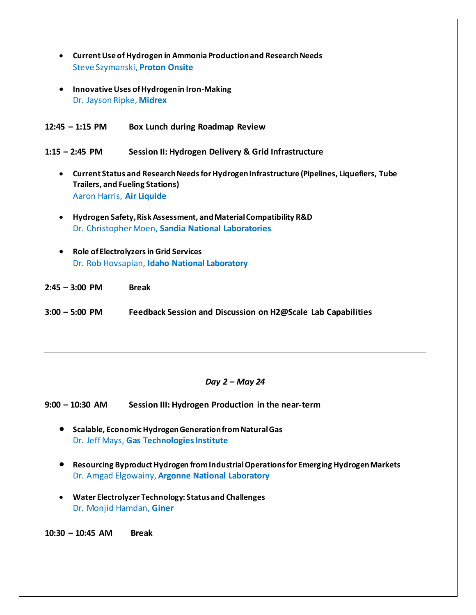- **Current Use of Hydrogen in Ammonia Production and Research Needs**  Steve Szymanski, **Proton Onsite**
- **Innovative Uses of Hydrogen in Iron-Making**  Dr. Jayson Ripke, **Midrex**
- **12:45 – 1:15 PM Box Lunch during Roadmap Review**

**1:15 – 2:45 PM Session II: Hydrogen Delivery & Grid Infrastructure** 

- **Current Status and Research Needs for Hydrogen Infrastructure (Pipelines, Liquefiers, Tube Trailers, and Fueling Stations)**  Aaron Harris, **Air Liquide**
- **Hydrogen Safety, Risk Assessment, and Material Compatibility R&D**  Dr. Christopher Moen, **Sandia National Laboratories**
- **Role of Electrolyzers in Grid Services**  Dr. Rob Hovsapian, **Idaho National Laboratory**
- **2:45 – 3:00 PM Break**
- **3:00 – 5:00 PM Feedback Session and Discussion on H2@Scale Lab Capabilities**

## *Day 2 – May 24*

**9:00 – 10:30 AM Session III: Hydrogen Production in the near-term** 

- **Scalable, Economic Hydrogen Generation from Natural Gas** Dr. Jeff Mays, **Gas Technologies Institute**
- **Resourcing Byproduct Hydrogen from Industrial Operations for Emerging Hydrogen Markets** Dr. Amgad Elgowainy, **Argonne National Laboratory**
- **Water Electrolyzer Technology: Status and Challenges**  Dr. Monjid Hamdan, **Giner**

**10:30 – 10:45 AM Break**